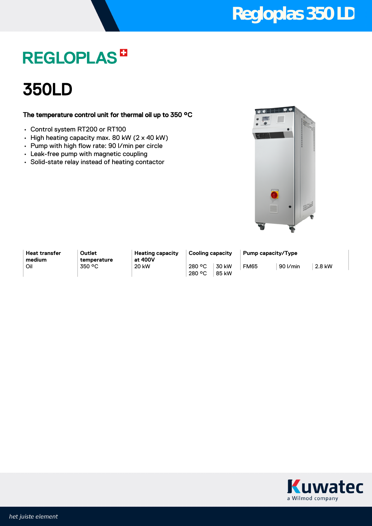## **Regloplas 350 LD**

## **REGLOPLAS<sup>B</sup>**

## 350LD

### The temperature control unit for thermal oil up to 350 °C

- Control system RT200 or RT100
- High heating capacity max. 80 kW (2 x 40 kW)
- Pump with high flow rate: 90 l/min per circle
- Leak-free pump with magnetic coupling
- Solid-state relay instead of heating contactor



**Heat transfer medium**

**Outlet temperature**

**Heating capacity at 400V** Oil 350 °C 20 kW 280 °C

280 °C 30 kW 85 kW

**Cooling capacity Pump capacity/Type** FM65 90 l/min 2.8 kW

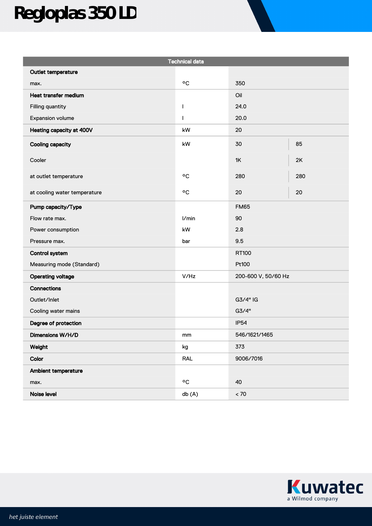# **Regloplas 350 LD**

| <b>Technical data</b>        |                    |                     |     |
|------------------------------|--------------------|---------------------|-----|
| Outlet temperature           |                    |                     |     |
| max.                         | °C                 | 350                 |     |
| Heat transfer medium         |                    | Oil                 |     |
| Filling quantity             | I                  | 24.0                |     |
| Expansion volume             | $\mathbf{I}$       | 20.0                |     |
| Heating capacity at 400V     | kW                 | 20                  |     |
| <b>Cooling capacity</b>      | kW                 | 30                  | 85  |
| Cooler                       |                    | 1K                  | 2K  |
| at outlet temperature        | °C                 | 280                 | 280 |
| at cooling water temperature | °C                 | 20                  | 20  |
| Pump capacity/Type           |                    | <b>FM65</b>         |     |
| Flow rate max.               | I/min              | 90                  |     |
| Power consumption            | kW                 | 2.8                 |     |
| Pressure max.                | bar                | 9.5                 |     |
| <b>Control system</b>        |                    | RT100               |     |
| Measuring mode (Standard)    |                    | Pt100               |     |
| <b>Operating voltage</b>     | V/Hz               | 200-600 V, 50/60 Hz |     |
| <b>Connections</b>           |                    |                     |     |
| Outlet/Inlet                 |                    | G3/4" IG            |     |
| Cooling water mains          |                    | G3/4"               |     |
| Degree of protection         |                    | <b>IP54</b>         |     |
| Dimensions W/H/D             | mm                 | 546/1621/1465       |     |
| Weight                       | kg                 | 373                 |     |
| Color                        | <b>RAL</b>         | 9006/7016           |     |
| Ambient temperature          |                    |                     |     |
| max.                         | $\circ \texttt{C}$ | 40                  |     |
| Noise level                  | db (A)             | $< 70\,$            |     |